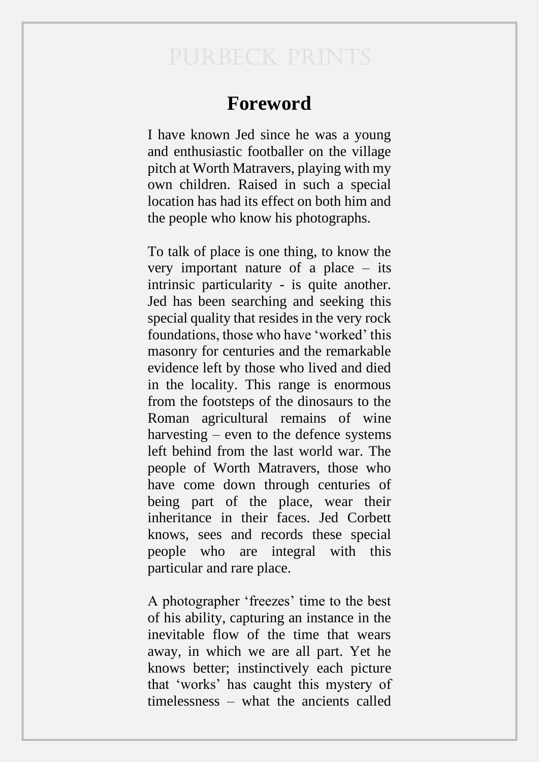## PURBECK PRINTS

## **Foreword**

I have known Jed since he was a young and enthusiastic footballer on the village pitch at Worth Matravers, playing with my own children. Raised in such a special location has had its effect on both him and the people who know his photographs.

To talk of place is one thing, to know the very important nature of a place – its intrinsic particularity - is quite another. Jed has been searching and seeking this special quality that resides in the very rock foundations, those who have 'worked' this masonry for centuries and the remarkable evidence left by those who lived and died in the locality. This range is enormous from the footsteps of the dinosaurs to the Roman agricultural remains of wine harvesting – even to the defence systems left behind from the last world war. The people of Worth Matravers, those who have come down through centuries of being part of the place, wear their inheritance in their faces. Jed Corbett knows, sees and records these special people who are integral with this particular and rare place.

A photographer 'freezes' time to the best of his ability, capturing an instance in the inevitable flow of the time that wears away, in which we are all part. Yet he knows better; instinctively each picture that 'works' has caught this mystery of timelessness – what the ancients called